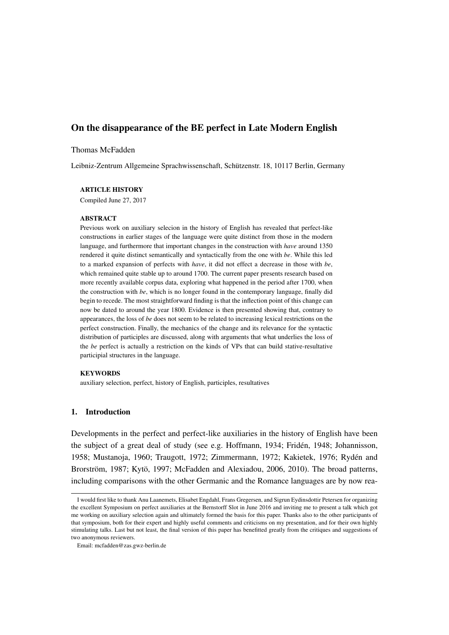# On the disappearance of the BE perfect in Late Modern English

### Thomas McFadden

Leibniz-Zentrum Allgemeine Sprachwissenschaft, Schützenstr. 18, 10117 Berlin, Germany

### ARTICLE HISTORY

Compiled June 27, 2017

#### ABSTRACT

Previous work on auxiliary selecion in the history of English has revealed that perfect-like constructions in earlier stages of the language were quite distinct from those in the modern language, and furthermore that important changes in the construction with *have* around 1350 rendered it quite distinct semantically and syntactically from the one with *be*. While this led to a marked expansion of perfects with *have*, it did not effect a decrease in those with *be*, which remained quite stable up to around 1700. The current paper presents research based on more recently available corpus data, exploring what happened in the period after 1700, when the construction with *be*, which is no longer found in the contemporary language, finally did begin to recede. The most straightforward finding is that the inflection point of this change can now be dated to around the year 1800. Evidence is then presented showing that, contrary to appearances, the loss of *be* does not seem to be related to increasing lexical restrictions on the perfect construction. Finally, the mechanics of the change and its relevance for the syntactic distribution of participles are discussed, along with arguments that what underlies the loss of the *be* perfect is actually a restriction on the kinds of VPs that can build stative-resultative participial structures in the language.

#### KEYWORDS

auxiliary selection, perfect, history of English, participles, resultatives

### 1. Introduction

Developments in the perfect and perfect-like auxiliaries in the history of English have been the subject of a great deal of study (see e.g. Hoffmann, 1934; Fridén, 1948; Johannisson, 1958; Mustanoja, 1960; Traugott, 1972; Zimmermann, 1972; Kakietek, 1976; Rydén and Brorström, 1987; Kytö, 1997; McFadden and Alexiadou, 2006, 2010). The broad patterns, including comparisons with the other Germanic and the Romance languages are by now rea-

I would first like to thank Anu Laanemets, Elisabet Engdahl, Frans Gregersen, and Sigrun Eydinsdottir Petersen for organizing the excellent Symposium on perfect auxiliaries at the Bernstorff Slot in June 2016 and inviting me to present a talk which got me working on auxiliary selection again and ultimately formed the basis for this paper. Thanks also to the other participants of that symposium, both for their expert and highly useful comments and criticisms on my presentation, and for their own highly stimulating talks. Last but not least, the final version of this paper has benefitted greatly from the critiques and suggestions of two anonymous reviewers.

Email: mcfadden@zas.gwz-berlin.de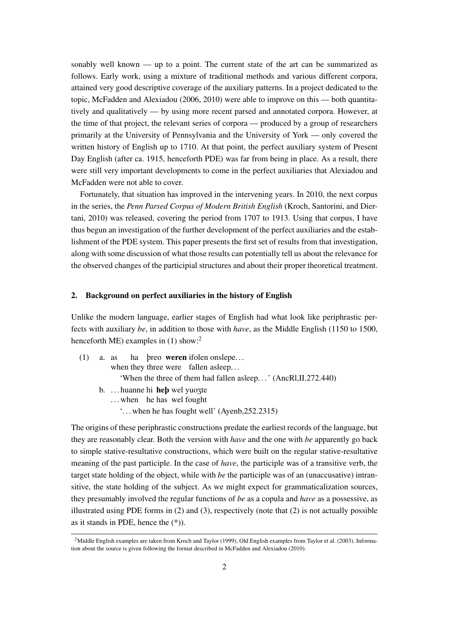sonably well known — up to a point. The current state of the art can be summarized as follows. Early work, using a mixture of traditional methods and various different corpora, attained very good descriptive coverage of the auxiliary patterns. In a project dedicated to the topic, McFadden and Alexiadou (2006, 2010) were able to improve on this — both quantitatively and qualitatively — by using more recent parsed and annotated corpora. However, at the time of that project, the relevant series of corpora — produced by a group of researchers primarily at the University of Pennsylvania and the University of York — only covered the written history of English up to 1710. At that point, the perfect auxiliary system of Present Day English (after ca. 1915, henceforth PDE) was far from being in place. As a result, there were still very important developments to come in the perfect auxiliaries that Alexiadou and McFadden were not able to cover.

Fortunately, that situation has improved in the intervening years. In 2010, the next corpus in the series, the *Penn Parsed Corpus of Modern British English* (Kroch, Santorini, and Diertani, 2010) was released, covering the period from 1707 to 1913. Using that corpus, I have thus begun an investigation of the further development of the perfect auxiliaries and the establishment of the PDE system. This paper presents the first set of results from that investigation, along with some discussion of what those results can potentially tell us about the relevance for the observed changes of the participial structures and about their proper theoretical treatment.

### 2. Background on perfect auxiliaries in the history of English

Unlike the modern language, earlier stages of English had what look like periphrastic perfects with auxiliary *be*, in addition to those with *have*, as the Middle English (1150 to 1500, henceforth ME) examples in  $(1)$  show:<sup>2</sup>

- (1) a. as when they three were fallen asleep... ha þreo weren ifolen onslepe. . . 'When the three of them had fallen asleep. . . ' (AncRl,II.272.440) b. ... huanne hi **heb** wel yuozte
	- ... when he has wel fought
		- '. . . when he has fought well' (Ayenb,252.2315)

The origins of these periphrastic constructions predate the earliest records of the language, but they are reasonably clear. Both the version with *have* and the one with *be* apparently go back to simple stative-resultative constructions, which were built on the regular stative-resultative meaning of the past participle. In the case of *have*, the participle was of a transitive verb, the target state holding of the object, while with *be* the participle was of an (unaccusative) intransitive, the state holding of the subject. As we might expect for grammaticalization sources, they presumably involved the regular functions of *be* as a copula and *have* as a possessive, as illustrated using PDE forms in  $(2)$  and  $(3)$ , respectively (note that  $(2)$  is not actually possible as it stands in PDE, hence the (\*)).

<sup>&</sup>lt;sup>2</sup>Middle English examples are taken from Kroch and Taylor (1999), Old English examples from Taylor et al. (2003). Information about the source is given following the format described in McFadden and Alexiadou (2010).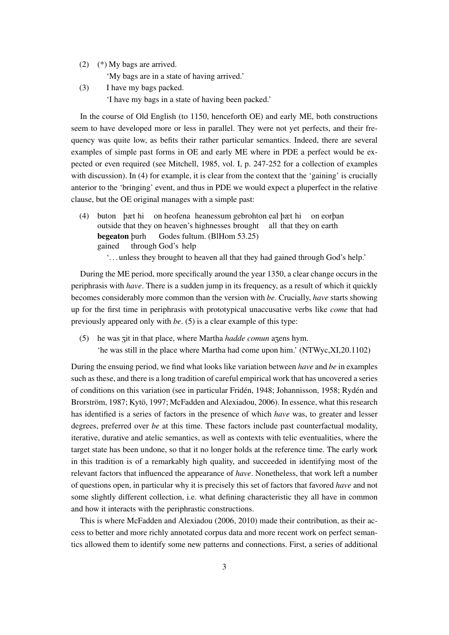(2) (\*) My bags are arrived.

'My bags are in a state of having arrived.'

(3) I have my bags packed.

'I have my bags in a state of having been packed.'

In the course of Old English (to 1150, henceforth OE) and early ME, both constructions seem to have developed more or less in parallel. They were not yet perfects, and their frequency was quite low, as befits their rather particular semantics. Indeed, there are several examples of simple past forms in OE and early ME where in PDE a perfect would be expected or even required (see Mitchell, 1985, vol. I, p. 247-252 for a collection of examples with discussion). In (4) for example, it is clear from the context that the 'gaining' is crucially anterior to the 'bringing' event, and thus in PDE we would expect a pluperfect in the relative clause, but the OE original manages with a simple past:

(4) buton þæt hi on heofena heanessum gebrohton eal þæt hi on eorþan outside that they on heaven's highnesses brought all that they on earth begeaton þurh gained through God's help Godes fultum. (BlHom 53.25) '. . . unless they brought to heaven all that they had gained through God's help.'

During the ME period, more specifically around the year 1350, a clear change occurs in the periphrasis with *have*. There is a sudden jump in its frequency, as a result of which it quickly becomes considerably more common than the version with *be*. Crucially, *have* starts showing up for the first time in periphrasis with prototypical unaccusative verbs like *come* that had previously appeared only with *be*. (5) is a clear example of this type:

(5) he was zit in that place, where Martha *hadde comun* azens hym. 'he was still in the place where Martha had come upon him.' (NTWyc,XI,20.1102)

During the ensuing period, we find what looks like variation between *have* and *be* in examples such as these, and there is a long tradition of careful empirical work that has uncovered a series of conditions on this variation (see in particular Fridén, 1948; Johannisson, 1958; Rydén and Brorström, 1987; Kytö, 1997; McFadden and Alexiadou, 2006). In essence, what this research has identified is a series of factors in the presence of which *have* was, to greater and lesser degrees, preferred over *be* at this time. These factors include past counterfactual modality, iterative, durative and atelic semantics, as well as contexts with telic eventualities, where the target state has been undone, so that it no longer holds at the reference time. The early work in this tradition is of a remarkably high quality, and succeeded in identifying most of the relevant factors that influenced the appearance of *have*. Nonetheless, that work left a number of questions open, in particular why it is precisely this set of factors that favored *have* and not some slightly different collection, i.e. what defining characteristic they all have in common and how it interacts with the periphrastic constructions.

This is where McFadden and Alexiadou (2006, 2010) made their contribution, as their access to better and more richly annotated corpus data and more recent work on perfect semantics allowed them to identify some new patterns and connections. First, a series of additional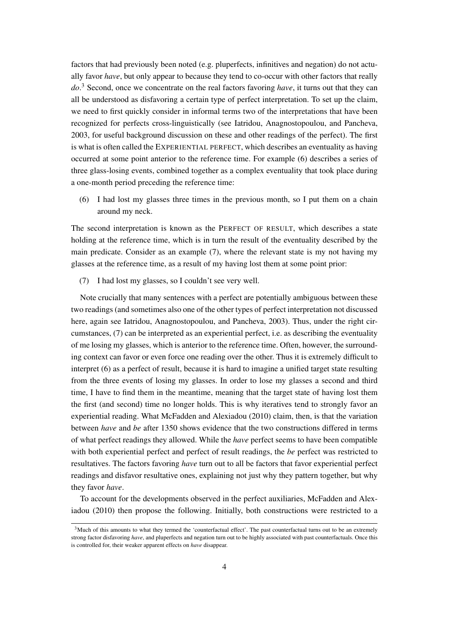factors that had previously been noted (e.g. pluperfects, infinitives and negation) do not actually favor *have*, but only appear to because they tend to co-occur with other factors that really *do*. <sup>3</sup> Second, once we concentrate on the real factors favoring *have*, it turns out that they can all be understood as disfavoring a certain type of perfect interpretation. To set up the claim, we need to first quickly consider in informal terms two of the interpretations that have been recognized for perfects cross-linguistically (see Iatridou, Anagnostopoulou, and Pancheva, 2003, for useful background discussion on these and other readings of the perfect). The first is what is often called the EXPERIENTIAL PERFECT, which describes an eventuality as having occurred at some point anterior to the reference time. For example (6) describes a series of three glass-losing events, combined together as a complex eventuality that took place during a one-month period preceding the reference time:

(6) I had lost my glasses three times in the previous month, so I put them on a chain around my neck.

The second interpretation is known as the PERFECT OF RESULT, which describes a state holding at the reference time, which is in turn the result of the eventuality described by the main predicate. Consider as an example (7), where the relevant state is my not having my glasses at the reference time, as a result of my having lost them at some point prior:

(7) I had lost my glasses, so I couldn't see very well.

Note crucially that many sentences with a perfect are potentially ambiguous between these two readings (and sometimes also one of the other types of perfect interpretation not discussed here, again see Iatridou, Anagnostopoulou, and Pancheva, 2003). Thus, under the right circumstances, (7) can be interpreted as an experiential perfect, i.e. as describing the eventuality of me losing my glasses, which is anterior to the reference time. Often, however, the surrounding context can favor or even force one reading over the other. Thus it is extremely difficult to interpret (6) as a perfect of result, because it is hard to imagine a unified target state resulting from the three events of losing my glasses. In order to lose my glasses a second and third time, I have to find them in the meantime, meaning that the target state of having lost them the first (and second) time no longer holds. This is why iteratives tend to strongly favor an experiential reading. What McFadden and Alexiadou (2010) claim, then, is that the variation between *have* and *be* after 1350 shows evidence that the two constructions differed in terms of what perfect readings they allowed. While the *have* perfect seems to have been compatible with both experiential perfect and perfect of result readings, the *be* perfect was restricted to resultatives. The factors favoring *have* turn out to all be factors that favor experiential perfect readings and disfavor resultative ones, explaining not just why they pattern together, but why they favor *have*.

To account for the developments observed in the perfect auxiliaries, McFadden and Alexiadou (2010) then propose the following. Initially, both constructions were restricted to a

<sup>&</sup>lt;sup>3</sup>Much of this amounts to what they termed the 'counterfactual effect'. The past counterfactual turns out to be an extremely strong factor disfavoring *have*, and pluperfects and negation turn out to be highly associated with past counterfactuals. Once this is controlled for, their weaker apparent effects on *have* disappear.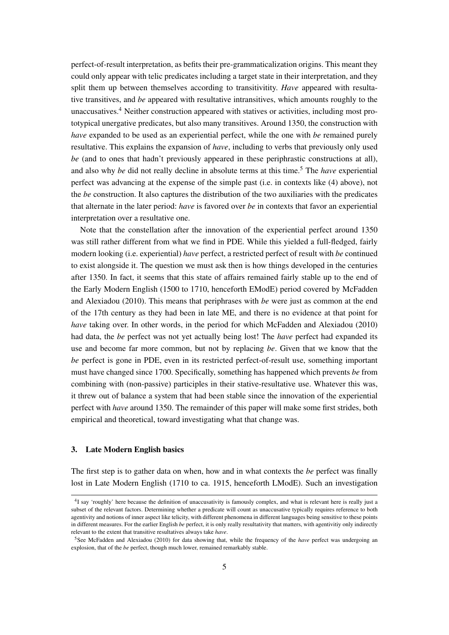perfect-of-result interpretation, as befits their pre-grammaticalization origins. This meant they could only appear with telic predicates including a target state in their interpretation, and they split them up between themselves according to transitivitity. *Have* appeared with resultative transitives, and *be* appeared with resultative intransitives, which amounts roughly to the unaccusatives.<sup>4</sup> Neither construction appeared with statives or activities, including most prototypical unergative predicates, but also many transitives. Around 1350, the construction with *have* expanded to be used as an experiential perfect, while the one with *be* remained purely resultative. This explains the expansion of *have*, including to verbs that previously only used *be* (and to ones that hadn't previously appeared in these periphrastic constructions at all), and also why *be* did not really decline in absolute terms at this time.<sup>5</sup> The *have* experiential perfect was advancing at the expense of the simple past (i.e. in contexts like (4) above), not the *be* construction. It also captures the distribution of the two auxiliaries with the predicates that alternate in the later period: *have* is favored over *be* in contexts that favor an experiential interpretation over a resultative one.

Note that the constellation after the innovation of the experiential perfect around 1350 was still rather different from what we find in PDE. While this yielded a full-fledged, fairly modern looking (i.e. experiential) *have* perfect, a restricted perfect of result with *be* continued to exist alongside it. The question we must ask then is how things developed in the centuries after 1350. In fact, it seems that this state of affairs remained fairly stable up to the end of the Early Modern English (1500 to 1710, henceforth EModE) period covered by McFadden and Alexiadou (2010). This means that periphrases with *be* were just as common at the end of the 17th century as they had been in late ME, and there is no evidence at that point for *have* taking over. In other words, in the period for which McFadden and Alexiadou (2010) had data, the *be* perfect was not yet actually being lost! The *have* perfect had expanded its use and become far more common, but not by replacing *be*. Given that we know that the *be* perfect is gone in PDE, even in its restricted perfect-of-result use, something important must have changed since 1700. Specifically, something has happened which prevents *be* from combining with (non-passive) participles in their stative-resultative use. Whatever this was, it threw out of balance a system that had been stable since the innovation of the experiential perfect with *have* around 1350. The remainder of this paper will make some first strides, both empirical and theoretical, toward investigating what that change was.

# 3. Late Modern English basics

The first step is to gather data on when, how and in what contexts the *be* perfect was finally lost in Late Modern English (1710 to ca. 1915, henceforth LModE). Such an investigation

<sup>&</sup>lt;sup>4</sup>I say 'roughly' here because the definition of unaccusativity is famously complex, and what is relevant here is really just a subset of the relevant factors. Determining whether a predicate will count as unaccusative typically requires reference to both agentivity and notions of inner aspect like telicity, with different phenomena in different languages being sensitive to these points in different measures. For the earlier English *be* perfect, it is only really resultativity that matters, with agentivitiy only indirectly relevant to the extent that transitive resultatives always take *have*.

<sup>5</sup>See McFadden and Alexiadou (2010) for data showing that, while the frequency of the *have* perfect was undergoing an explosion, that of the *be* perfect, though much lower, remained remarkably stable.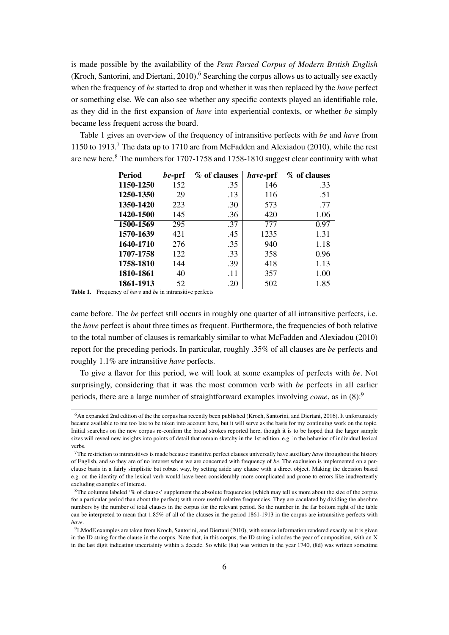is made possible by the availability of the *Penn Parsed Corpus of Modern British English* (Kroch, Santorini, and Diertani, 2010).<sup>6</sup> Searching the corpus allows us to actually see exactly when the frequency of *be* started to drop and whether it was then replaced by the *have* perfect or something else. We can also see whether any specific contexts played an identifiable role, as they did in the first expansion of *have* into experiential contexts, or whether *be* simply became less frequent across the board.

Table 1 gives an overview of the frequency of intransitive perfects with *be* and *have* from 1150 to 1913.<sup>7</sup> The data up to 1710 are from McFadden and Alexiadou (2010), while the rest are new here.<sup>8</sup> The numbers for 1707-1758 and 1758-1810 suggest clear continuity with what

| Period    | be-prf | % of clauses | have-prf | % of clauses |
|-----------|--------|--------------|----------|--------------|
| 1150-1250 | 152    | .35          | 146      | .33          |
| 1250-1350 | 29     | .13          | 116      | .51          |
| 1350-1420 | 223    | .30          | 573      | .77          |
| 1420-1500 | 145    | .36          | 420      | 1.06         |
| 1500-1569 | 295    | .37          | 777      | 0.97         |
| 1570-1639 | 421    | .45          | 1235     | 1.31         |
| 1640-1710 | 276    | .35          | 940      | 1.18         |
| 1707-1758 | 122    | .33          | 358      | 0.96         |
| 1758-1810 | 144    | .39          | 418      | 1.13         |
| 1810-1861 | 40     | .11          | 357      | 1.00         |
| 1861-1913 | 52     | .20          | 502      | 1.85         |

Table 1. Frequency of *have* and *be* in intransitive perfects

came before. The *be* perfect still occurs in roughly one quarter of all intransitive perfects, i.e. the *have* perfect is about three times as frequent. Furthermore, the frequencies of both relative to the total number of clauses is remarkably similar to what McFadden and Alexiadou (2010) report for the preceding periods. In particular, roughly .35% of all clauses are *be* perfects and roughly 1.1% are intransitive *have* perfects.

To give a flavor for this period, we will look at some examples of perfects with *be*. Not surprisingly, considering that it was the most common verb with *be* perfects in all earlier periods, there are a large number of straightforward examples involving *come*, as in (8):<sup>9</sup>

<sup>6</sup>An expanded 2nd edition of the the corpus has recently been published (Kroch, Santorini, and Diertani, 2016). It unfortunately became available to me too late to be taken into account here, but it will serve as the basis for my continuing work on the topic. Initial searches on the new corpus re-confirm the broad strokes reported here, though it is to be hoped that the larger sample sizes will reveal new insights into points of detail that remain sketchy in the 1st edition, e.g. in the behavior of individual lexical verbs.

<sup>7</sup>The restriction to intransitives is made because transitive perfect clauses universally have auxiliary *have* throughout the history of English, and so they are of no interest when we are concerned with frequency of *be*. The exclusion is implemented on a perclause basis in a fairly simplistic but robust way, by setting aside any clause with a direct object. Making the decision based e.g. on the identity of the lexical verb would have been considerably more complicated and prone to errors like inadvertently excluding examples of interest.

<sup>&</sup>lt;sup>8</sup>The columns labeled '% of clauses' supplement the absolute frequencies (which may tell us more about the size of the corpus for a particular period than about the perfect) with more useful relative frequencies. They are caculated by dividing the absolute numbers by the number of total clauses in the corpus for the relevant period. So the number in the far bottom right of the table can be interpreted to mean that 1.85% of all of the clauses in the period 1861-1913 in the corpus are intransitive perfects with *have*.

<sup>9</sup>LModE examples are taken from Kroch, Santorini, and Diertani (2010), with source information rendered exactly as it is given in the ID string for the clause in the corpus. Note that, in this corpus, the ID string includes the year of composition, with an X in the last digit indicating uncertainty within a decade. So while (8a) was written in the year 1740, (8d) was written sometime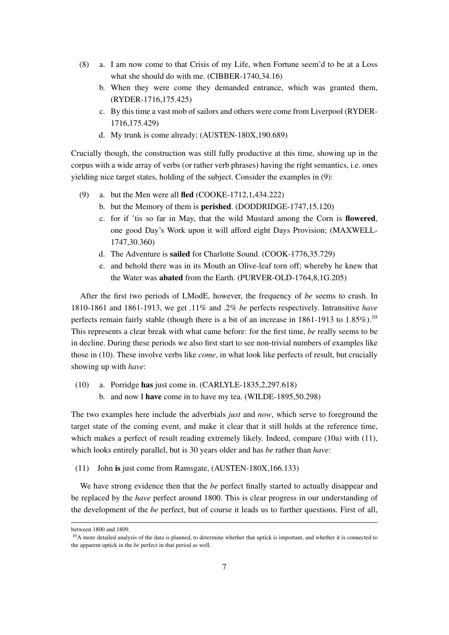- (8) a. I am now come to that Crisis of my Life, when Fortune seem'd to be at a Loss what she should do with me. (CIBBER-1740,34.16)
	- b. When they were come they demanded entrance, which was granted them, (RYDER-1716,175.425)
	- c. By this time a vast mob of sailors and others were come from Liverpool (RYDER-1716,175.429)
	- d. My trunk is come already; (AUSTEN-180X,190.689)

Crucially though, the construction was still fully productive at this time, showing up in the corpus with a wide array of verbs (or rather verb phrases) having the right semantics, i.e. ones yielding nice target states, holding of the subject. Consider the examples in (9):

- (9) a. but the Men were all fled (COOKE-1712,1,434.222)
	- b. but the Memory of them is perished. (DODDRIDGE-1747,15.120)
	- c. for if 'tis so far in May, that the wild Mustard among the Corn is flowered, one good Day's Work upon it will afford eight Days Provision; (MAXWELL-1747,30.360)
	- d. The Adventure is sailed for Charlotte Sound. (COOK-1776,35.729)
	- e. and behold there was in its Mouth an Olive-leaf torn off; whereby he knew that the Water was abated from the Earth. (PURVER-OLD-1764,8,1G.205)

After the first two periods of LModE, however, the frequency of *be* seems to crash. In 1810-1861 and 1861-1913, we get .11% and .2% *be* perfects respectively. Intransitive *have* perfects remain fairly stable (though there is a bit of an increase in  $1861-1913$  to  $1.85\%$ ).<sup>10</sup> This represents a clear break with what came before: for the first time, *be* really seems to be in decline. During these periods we also first start to see non-trivial numbers of examples like those in (10). These involve verbs like *come*, in what look like perfects of result, but crucially showing up with *have*:

(10) a. Porridge has just come in. (CARLYLE-1835,2,297.618) b. and now I have come in to have my tea. (WILDE-1895,50.298)

The two examples here include the adverbials *just* and *now*, which serve to foreground the target state of the coming event, and make it clear that it still holds at the reference time, which makes a perfect of result reading extremely likely. Indeed, compare (10a) with (11), which looks entirely parallel, but is 30 years older and has *be* rather than *have*:

(11) John is just come from Ramsgate, (AUSTEN-180X,166.133)

We have strong evidence then that the *be* perfect finally started to actually disappear and be replaced by the *have* perfect around 1800. This is clear progress in our understanding of the development of the *be* perfect, but of course it leads us to further questions. First of all,

between 1800 and 1809.

<sup>&</sup>lt;sup>10</sup>A more detailed analysis of the data is planned, to determine whether that uptick is important, and whether it is connected to the apparent uptick in the *be* perfect in that period as well.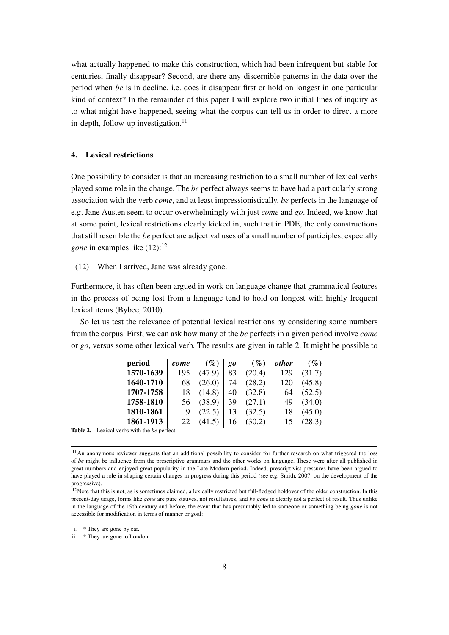what actually happened to make this construction, which had been infrequent but stable for centuries, finally disappear? Second, are there any discernible patterns in the data over the period when *be* is in decline, i.e. does it disappear first or hold on longest in one particular kind of context? In the remainder of this paper I will explore two initial lines of inquiry as to what might have happened, seeing what the corpus can tell us in order to direct a more in-depth, follow-up investigation.<sup>11</sup>

# 4. Lexical restrictions

One possibility to consider is that an increasing restriction to a small number of lexical verbs played some role in the change. The *be* perfect always seems to have had a particularly strong association with the verb *come*, and at least impressionistically, *be* perfects in the language of e.g. Jane Austen seem to occur overwhelmingly with just *come* and *go*. Indeed, we know that at some point, lexical restrictions clearly kicked in, such that in PDE, the only constructions that still resemble the *be* perfect are adjectival uses of a small number of participles, especially *gone* in examples like (12):<sup>12</sup>

(12) When I arrived, Jane was already gone.

Furthermore, it has often been argued in work on language change that grammatical features in the process of being lost from a language tend to hold on longest with highly frequent lexical items (Bybee, 2010).

So let us test the relevance of potential lexical restrictions by considering some numbers from the corpus. First, we can ask how many of the *be* perfects in a given period involve *come* or *go*, versus some other lexical verb. The results are given in table 2. It might be possible to

| period                                                   | come | $(\%)$ | g <sub>0</sub> | $(\%)$ | <i>other</i> | $(\%)$ |
|----------------------------------------------------------|------|--------|----------------|--------|--------------|--------|
| 1570-1639                                                | 195  | (47.9) | 83             | (20.4) | 129          | (31.7) |
| 1640-1710                                                | 68   | (26.0) | 74             | (28.2) | 120          | (45.8) |
| 1707-1758                                                | 18   | (14.8) | 40             | (32.8) | 64           | (52.5) |
| 1758-1810                                                | 56   | (38.9) | 39             | (27.1) | 49           | (34.0) |
| 1810-1861                                                | 9    | (22.5) | 13             | (32.5) | 18           | (45.0) |
| 1861-1913                                                | 22   | (41.5) | 16             | (30.2) | 15           | (28.3) |
| <b>Table 2.</b> Lexical verbs with the <i>be</i> perfect |      |        |                |        |              |        |

 $11$ An anonymous reviewer suggests that an additional possibility to consider for further research on what triggered the loss of *be* might be influence from the prescriptive grammars and the other works on language. These were after all published in great numbers and enjoyed great popularity in the Late Modern period. Indeed, prescriptivist pressures have been argued to have played a role in shaping certain changes in progress during this period (see e.g. Smith, 2007, on the development of the progressive).

<sup>&</sup>lt;sup>12</sup>Note that this is not, as is sometimes claimed, a lexically restricted but full-fledged holdover of the older construction. In this present-day usage, forms like *gone* are pure statives, not resultatives, and *be gone* is clearly not a perfect of result. Thus unlike in the language of the 19th century and before, the event that has presumably led to someone or something being *gone* is not accessible for modification in terms of manner or goal:

i. \* They are gone by car.

ii. \* They are gone to London.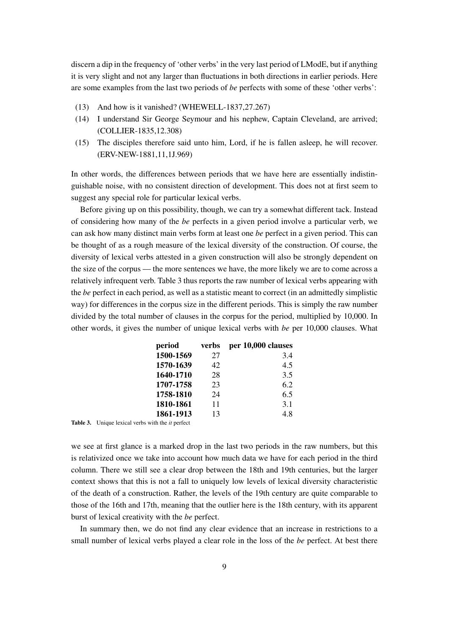discern a dip in the frequency of 'other verbs' in the very last period of LModE, but if anything it is very slight and not any larger than fluctuations in both directions in earlier periods. Here are some examples from the last two periods of *be* perfects with some of these 'other verbs':

- (13) And how is it vanished? (WHEWELL-1837,27.267)
- (14) I understand Sir George Seymour and his nephew, Captain Cleveland, are arrived; (COLLIER-1835,12.308)
- (15) The disciples therefore said unto him, Lord, if he is fallen asleep, he will recover. (ERV-NEW-1881,11,1J.969)

In other words, the differences between periods that we have here are essentially indistinguishable noise, with no consistent direction of development. This does not at first seem to suggest any special role for particular lexical verbs.

Before giving up on this possibility, though, we can try a somewhat different tack. Instead of considering how many of the *be* perfects in a given period involve a particular verb, we can ask how many distinct main verbs form at least one *be* perfect in a given period. This can be thought of as a rough measure of the lexical diversity of the construction. Of course, the diversity of lexical verbs attested in a given construction will also be strongly dependent on the size of the corpus — the more sentences we have, the more likely we are to come across a relatively infrequent verb. Table 3 thus reports the raw number of lexical verbs appearing with the *be* perfect in each period, as well as a statistic meant to correct (in an admittedly simplistic way) for differences in the corpus size in the different periods. This is simply the raw number divided by the total number of clauses in the corpus for the period, multiplied by 10,000. In other words, it gives the number of unique lexical verbs with *be* per 10,000 clauses. What

| period    | verbs | per 10,000 clauses |
|-----------|-------|--------------------|
| 1500-1569 | 27    | 3.4                |
| 1570-1639 | 42    | 4.5                |
| 1640-1710 | 28    | 3.5                |
| 1707-1758 | 23    | 6.2                |
| 1758-1810 | 24    | 6.5                |
| 1810-1861 | 11    | 3.1                |
| 1861-1913 | 13    | 4.8                |

Table 3. Unique lexical verbs with the *it* perfect

we see at first glance is a marked drop in the last two periods in the raw numbers, but this is relativized once we take into account how much data we have for each period in the third column. There we still see a clear drop between the 18th and 19th centuries, but the larger context shows that this is not a fall to uniquely low levels of lexical diversity characteristic of the death of a construction. Rather, the levels of the 19th century are quite comparable to those of the 16th and 17th, meaning that the outlier here is the 18th century, with its apparent burst of lexical creativity with the *be* perfect.

In summary then, we do not find any clear evidence that an increase in restrictions to a small number of lexical verbs played a clear role in the loss of the *be* perfect. At best there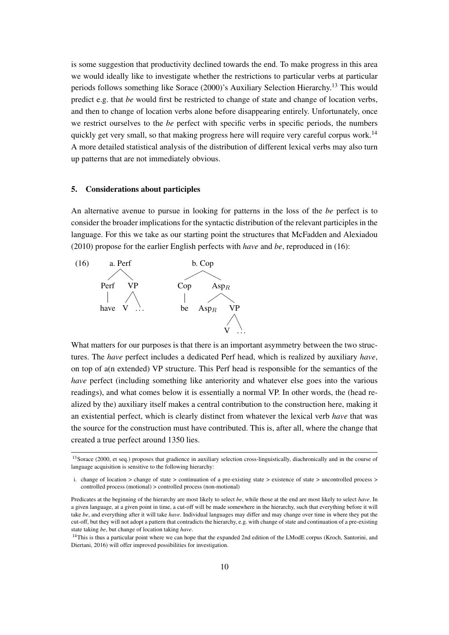is some suggestion that productivity declined towards the end. To make progress in this area we would ideally like to investigate whether the restrictions to particular verbs at particular periods follows something like Sorace (2000)'s Auxiliary Selection Hierarchy.<sup>13</sup> This would predict e.g. that *be* would first be restricted to change of state and change of location verbs, and then to change of location verbs alone before disappearing entirely. Unfortunately, once we restrict ourselves to the *be* perfect with specific verbs in specific periods, the numbers quickly get very small, so that making progress here will require very careful corpus work.<sup>14</sup> A more detailed statistical analysis of the distribution of different lexical verbs may also turn up patterns that are not immediately obvious.

### 5. Considerations about participles

An alternative avenue to pursue in looking for patterns in the loss of the *be* perfect is to consider the broader implications for the syntactic distribution of the relevant participles in the language. For this we take as our starting point the structures that McFadden and Alexiadou (2010) propose for the earlier English perfects with *have* and *be*, reproduced in (16):



What matters for our purposes is that there is an important asymmetry between the two structures. The *have* perfect includes a dedicated Perf head, which is realized by auxiliary *have*, on top of a(n extended) VP structure. This Perf head is responsible for the semantics of the *have* perfect (including something like anteriority and whatever else goes into the various readings), and what comes below it is essentially a normal VP. In other words, the (head realized by the) auxiliary itself makes a central contribution to the construction here, making it an existential perfect, which is clearly distinct from whatever the lexical verb *have* that was the source for the construction must have contributed. This is, after all, where the change that created a true perfect around 1350 lies.

<sup>&</sup>lt;sup>13</sup>Sorace (2000, et seq.) proposes that gradience in auxiliary selection cross-linguistically, diachronically and in the course of language acquisition is sensitive to the following hierarchy:

i. change of location > change of state > continuation of a pre-existing state > existence of state > uncontrolled process > controlled process (motional) > controlled process (non-motional)

Predicates at the beginning of the hierarchy are most likely to select *be*, while those at the end are most likely to select *have*. In a given language, at a given point in time, a cut-off will be made somewhere in the hierarchy, such that everything before it will take *be*, and everything after it will take *have*. Individual languages may differ and may change over time in where they put the cut-off, but they will not adopt a pattern that contradicts the hierarchy, e.g. with change of state and continuation of a pre-existing state taking *be*, but change of location taking *have*.

<sup>&</sup>lt;sup>14</sup>This is thus a particular point where we can hope that the expanded 2nd edition of the LModE corpus (Kroch, Santorini, and Diertani, 2016) will offer improved possibilities for investigation.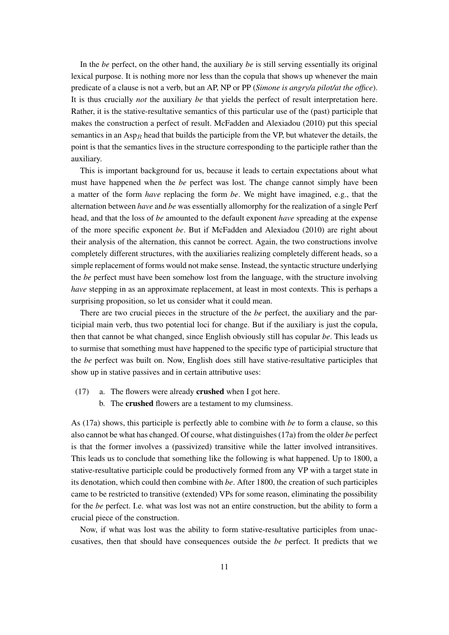In the *be* perfect, on the other hand, the auxiliary *be* is still serving essentially its original lexical purpose. It is nothing more nor less than the copula that shows up whenever the main predicate of a clause is not a verb, but an AP, NP or PP (*Simone is angry/a pilot/at the office*). It is thus crucially *not* the auxiliary *be* that yields the perfect of result interpretation here. Rather, it is the stative-resultative semantics of this particular use of the (past) participle that makes the construction a perfect of result. McFadden and Alexiadou (2010) put this special semantics in an  $\text{Asp}_R$  head that builds the participle from the VP, but whatever the details, the point is that the semantics lives in the structure corresponding to the participle rather than the auxiliary.

This is important background for us, because it leads to certain expectations about what must have happened when the *be* perfect was lost. The change cannot simply have been a matter of the form *have* replacing the form *be*. We might have imagined, e.g., that the alternation between *have* and *be* was essentially allomorphy for the realization of a single Perf head, and that the loss of *be* amounted to the default exponent *have* spreading at the expense of the more specific exponent *be*. But if McFadden and Alexiadou (2010) are right about their analysis of the alternation, this cannot be correct. Again, the two constructions involve completely different structures, with the auxiliaries realizing completely different heads, so a simple replacement of forms would not make sense. Instead, the syntactic structure underlying the *be* perfect must have been somehow lost from the language, with the structure involving *have* stepping in as an approximate replacement, at least in most contexts. This is perhaps a surprising proposition, so let us consider what it could mean.

There are two crucial pieces in the structure of the *be* perfect, the auxiliary and the participial main verb, thus two potential loci for change. But if the auxiliary is just the copula, then that cannot be what changed, since English obviously still has copular *be*. This leads us to surmise that something must have happened to the specific type of participial structure that the *be* perfect was built on. Now, English does still have stative-resultative participles that show up in stative passives and in certain attributive uses:

- (17) a. The flowers were already crushed when I got here.
	- b. The crushed flowers are a testament to my clumsiness.

As (17a) shows, this participle is perfectly able to combine with *be* to form a clause, so this also cannot be what has changed. Of course, what distinguishes (17a) from the older *be* perfect is that the former involves a (passivized) transitive while the latter involved intransitives. This leads us to conclude that something like the following is what happened. Up to 1800, a stative-resultative participle could be productively formed from any VP with a target state in its denotation, which could then combine with *be*. After 1800, the creation of such participles came to be restricted to transitive (extended) VPs for some reason, eliminating the possibility for the *be* perfect. I.e. what was lost was not an entire construction, but the ability to form a crucial piece of the construction.

Now, if what was lost was the ability to form stative-resultative participles from unaccusatives, then that should have consequences outside the *be* perfect. It predicts that we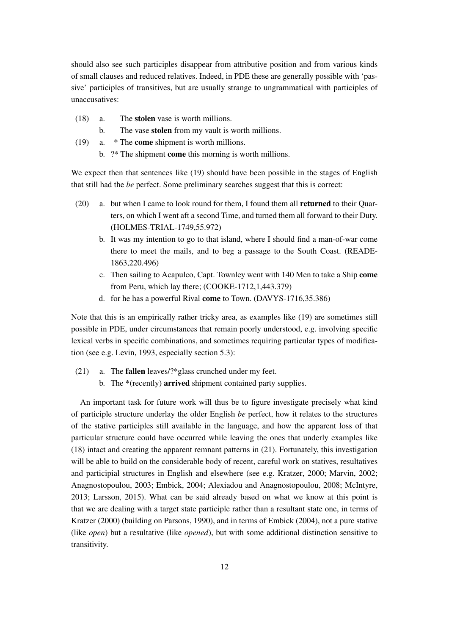should also see such participles disappear from attributive position and from various kinds of small clauses and reduced relatives. Indeed, in PDE these are generally possible with 'passive' participles of transitives, but are usually strange to ungrammatical with participles of unaccusatives:

- (18) a. The stolen vase is worth millions.
	- b. The vase stolen from my vault is worth millions.
- (19) a. \* The come shipment is worth millions.
	- b. ?\* The shipment come this morning is worth millions.

We expect then that sentences like (19) should have been possible in the stages of English that still had the *be* perfect. Some preliminary searches suggest that this is correct:

- (20) a. but when I came to look round for them, I found them all returned to their Quarters, on which I went aft a second Time, and turned them all forward to their Duty. (HOLMES-TRIAL-1749,55.972)
	- b. It was my intention to go to that island, where I should find a man-of-war come there to meet the mails, and to beg a passage to the South Coast. (READE-1863,220.496)
	- c. Then sailing to Acapulco, Capt. Townley went with 140 Men to take a Ship come from Peru, which lay there; (COOKE-1712,1,443.379)
	- d. for he has a powerful Rival come to Town. (DAVYS-1716,35.386)

Note that this is an empirically rather tricky area, as examples like (19) are sometimes still possible in PDE, under circumstances that remain poorly understood, e.g. involving specific lexical verbs in specific combinations, and sometimes requiring particular types of modification (see e.g. Levin, 1993, especially section 5.3):

- (21) a. The fallen leaves/?\*glass crunched under my feet.
	- b. The \*(recently) arrived shipment contained party supplies.

An important task for future work will thus be to figure investigate precisely what kind of participle structure underlay the older English *be* perfect, how it relates to the structures of the stative participles still available in the language, and how the apparent loss of that particular structure could have occurred while leaving the ones that underly examples like (18) intact and creating the apparent remnant patterns in (21). Fortunately, this investigation will be able to build on the considerable body of recent, careful work on statives, resultatives and participial structures in English and elsewhere (see e.g. Kratzer, 2000; Marvin, 2002; Anagnostopoulou, 2003; Embick, 2004; Alexiadou and Anagnostopoulou, 2008; McIntyre, 2013; Larsson, 2015). What can be said already based on what we know at this point is that we are dealing with a target state participle rather than a resultant state one, in terms of Kratzer (2000) (building on Parsons, 1990), and in terms of Embick (2004), not a pure stative (like *open*) but a resultative (like *opened*), but with some additional distinction sensitive to transitivity.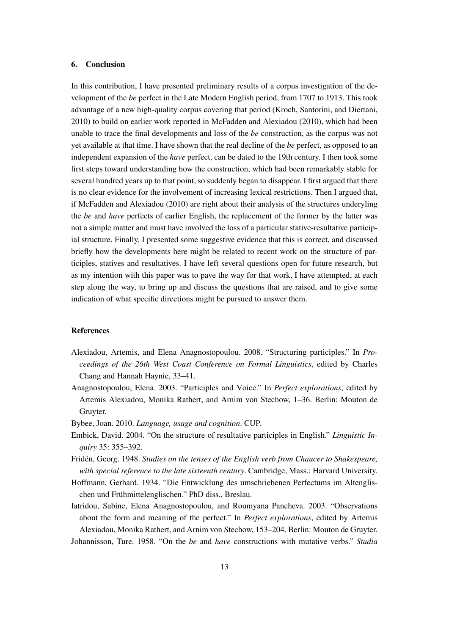## 6. Conclusion

In this contribution, I have presented preliminary results of a corpus investigation of the development of the *be* perfect in the Late Modern English period, from 1707 to 1913. This took advantage of a new high-quality corpus covering that period (Kroch, Santorini, and Diertani, 2010) to build on earlier work reported in McFadden and Alexiadou (2010), which had been unable to trace the final developments and loss of the *be* construction, as the corpus was not yet available at that time. I have shown that the real decline of the *be* perfect, as opposed to an independent expansion of the *have* perfect, can be dated to the 19th century. I then took some first steps toward understanding how the construction, which had been remarkably stable for several hundred years up to that point, so suddenly began to disappear. I first argued that there is no clear evidence for the involvement of increasing lexical restrictions. Then I argued that, if McFadden and Alexiadou (2010) are right about their analysis of the structures underyling the *be* and *have* perfects of earlier English, the replacement of the former by the latter was not a simple matter and must have involved the loss of a particular stative-resultative participial structure. Finally, I presented some suggestive evidence that this is correct, and discussed briefly how the developments here might be related to recent work on the structure of participles, statives and resultatives. I have left several questions open for future research, but as my intention with this paper was to pave the way for that work, I have attempted, at each step along the way, to bring up and discuss the questions that are raised, and to give some indication of what specific directions might be pursued to answer them.

# References

- Alexiadou, Artemis, and Elena Anagnostopoulou. 2008. "Structuring participles." In *Proceedings of the 26th West Coast Conference on Formal Linguistics*, edited by Charles Chang and Hannah Haynie, 33–41.
- Anagnostopoulou, Elena. 2003. "Participles and Voice." In *Perfect explorations*, edited by Artemis Alexiadou, Monika Rathert, and Arnim von Stechow, 1–36. Berlin: Mouton de Gruyter.
- Bybee, Joan. 2010. *Language, usage and cognition*. CUP.
- Embick, David. 2004. "On the structure of resultative participles in English." *Linguistic Inquiry* 35: 355–392.
- Fridén, Georg. 1948. *Studies on the tenses of the English verb from Chaucer to Shakespeare, with special reference to the late sixteenth century*. Cambridge, Mass.: Harvard University.
- Hoffmann, Gerhard. 1934. "Die Entwicklung des umschriebenen Perfectums im Altenglischen und Frühmittelenglischen." PhD diss., Breslau.

Iatridou, Sabine, Elena Anagnostopoulou, and Roumyana Pancheva. 2003. "Observations about the form and meaning of the perfect." In *Perfect explorations*, edited by Artemis Alexiadou, Monika Rathert, and Arnim von Stechow, 153–204. Berlin: Mouton de Gruyter.

Johannisson, Ture. 1958. "On the *be* and *have* constructions with mutative verbs." *Studia*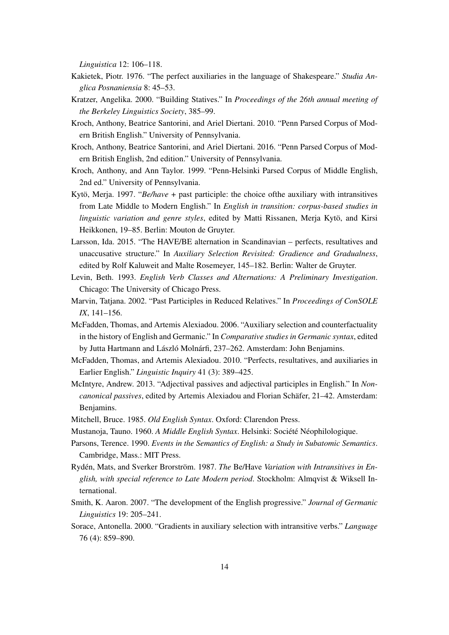*Linguistica* 12: 106–118.

- Kakietek, Piotr. 1976. "The perfect auxiliaries in the language of Shakespeare." *Studia Anglica Posnaniensia* 8: 45–53.
- Kratzer, Angelika. 2000. "Building Statives." In *Proceedings of the 26th annual meeting of the Berkeley Linguistics Society*, 385–99.
- Kroch, Anthony, Beatrice Santorini, and Ariel Diertani. 2010. "Penn Parsed Corpus of Modern British English." University of Pennsylvania.
- Kroch, Anthony, Beatrice Santorini, and Ariel Diertani. 2016. "Penn Parsed Corpus of Modern British English, 2nd edition." University of Pennsylvania.
- Kroch, Anthony, and Ann Taylor. 1999. "Penn-Helsinki Parsed Corpus of Middle English, 2nd ed." University of Pennsylvania.
- Kytö, Merja. 1997. "*Be/have* + past participle: the choice ofthe auxiliary with intransitives from Late Middle to Modern English." In *English in transition: corpus-based studies in linguistic variation and genre styles*, edited by Matti Rissanen, Merja Kytö, and Kirsi Heikkonen, 19–85. Berlin: Mouton de Gruyter.
- Larsson, Ida. 2015. "The HAVE/BE alternation in Scandinavian perfects, resultatives and unaccusative structure." In *Auxiliary Selection Revisited: Gradience and Gradualness*, edited by Rolf Kaluweit and Malte Rosemeyer, 145–182. Berlin: Walter de Gruyter.
- Levin, Beth. 1993. *English Verb Classes and Alternations: A Preliminary Investigation*. Chicago: The University of Chicago Press.
- Marvin, Tatjana. 2002. "Past Participles in Reduced Relatives." In *Proceedings of ConSOLE IX*, 141–156.
- McFadden, Thomas, and Artemis Alexiadou. 2006. "Auxiliary selection and counterfactuality in the history of English and Germanic." In *Comparative studies in Germanic syntax*, edited by Jutta Hartmann and László Molnárfi, 237–262. Amsterdam: John Benjamins.
- McFadden, Thomas, and Artemis Alexiadou. 2010. "Perfects, resultatives, and auxiliaries in Earlier English." *Linguistic Inquiry* 41 (3): 389–425.
- McIntyre, Andrew. 2013. "Adjectival passives and adjectival participles in English." In *Noncanonical passives*, edited by Artemis Alexiadou and Florian Schäfer, 21–42. Amsterdam: Benjamins.
- Mitchell, Bruce. 1985. *Old English Syntax*. Oxford: Clarendon Press.
- Mustanoja, Tauno. 1960. *A Middle English Syntax*. Helsinki: Société Néophilologique.
- Parsons, Terence. 1990. *Events in the Semantics of English: a Study in Subatomic Semantics*. Cambridge, Mass.: MIT Press.
- Rydén, Mats, and Sverker Brorström. 1987. *The* Be/Have *Variation with Intransitives in English, with special reference to Late Modern period*. Stockholm: Almqvist & Wiksell International.
- Smith, K. Aaron. 2007. "The development of the English progressive." *Journal of Germanic Linguistics* 19: 205–241.
- Sorace, Antonella. 2000. "Gradients in auxiliary selection with intransitive verbs." *Language* 76 (4): 859–890.